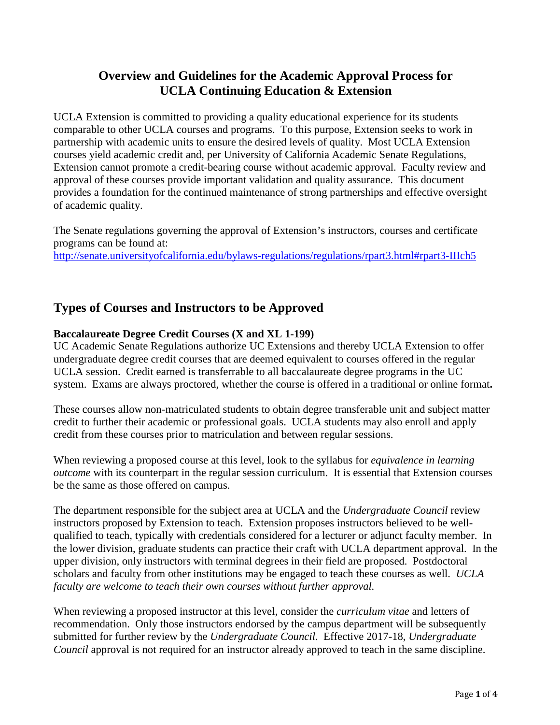## **Overview and Guidelines for the Academic Approval Process for UCLA Continuing Education & Extension**

UCLA Extension is committed to providing a quality educational experience for its students comparable to other UCLA courses and programs. To this purpose, Extension seeks to work in partnership with academic units to ensure the desired levels of quality. Most UCLA Extension courses yield academic credit and, per University of California Academic Senate Regulations, Extension cannot promote a credit-bearing course without academic approval. Faculty review and approval of these courses provide important validation and quality assurance. This document provides a foundation for the continued maintenance of strong partnerships and effective oversight of academic quality.

The Senate regulations governing the approval of Extension's instructors, courses and certificate programs can be found at:

<http://senate.universityofcalifornia.edu/bylaws-regulations/regulations/rpart3.html#rpart3-IIIch5>

### **Types of Courses and Instructors to be Approved**

#### **Baccalaureate Degree Credit Courses (X and XL 1-199)**

UC Academic Senate Regulations authorize UC Extensions and thereby UCLA Extension to offer undergraduate degree credit courses that are deemed equivalent to courses offered in the regular UCLA session. Credit earned is transferrable to all baccalaureate degree programs in the UC system. Exams are always proctored, whether the course is offered in a traditional or online format**.**

These courses allow non-matriculated students to obtain degree transferable unit and subject matter credit to further their academic or professional goals. UCLA students may also enroll and apply credit from these courses prior to matriculation and between regular sessions.

When reviewing a proposed course at this level, look to the syllabus for *equivalence in learning outcome* with its counterpart in the regular session curriculum. It is essential that Extension courses be the same as those offered on campus.

The department responsible for the subject area at UCLA and the *Undergraduate Council* review instructors proposed by Extension to teach. Extension proposes instructors believed to be wellqualified to teach, typically with credentials considered for a lecturer or adjunct faculty member. In the lower division, graduate students can practice their craft with UCLA department approval. In the upper division, only instructors with terminal degrees in their field are proposed. Postdoctoral scholars and faculty from other institutions may be engaged to teach these courses as well. *UCLA faculty are welcome to teach their own courses without further approval.*

When reviewing a proposed instructor at this level, consider the *curriculum vitae* and letters of recommendation. Only those instructors endorsed by the campus department will be subsequently submitted for further review by the *Undergraduate Council*. Effective 2017-18, *Undergraduate Council* approval is not required for an instructor already approved to teach in the same discipline.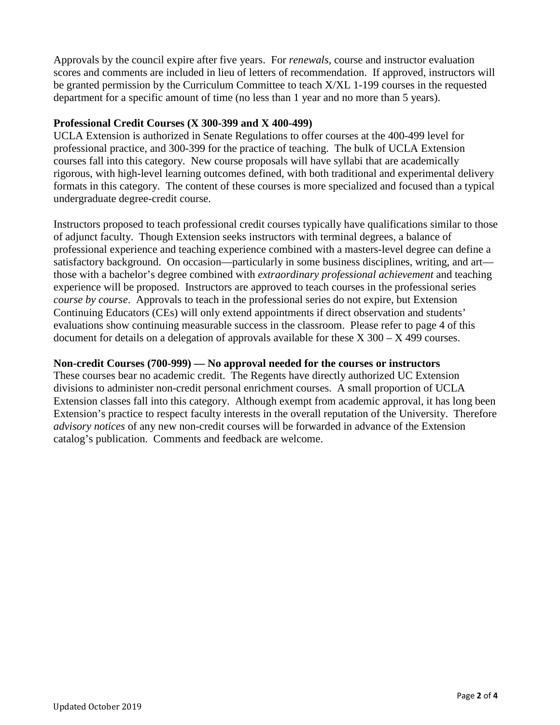Approvals by the council expire after five years. For *renewals,* course and instructor evaluation scores and comments are included in lieu of letters of recommendation. If approved, instructors will be granted permission by the Curriculum Committee to teach X/XL 1-199 courses in the requested department for a specific amount of time (no less than 1 year and no more than 5 years).

#### **Professional Credit Courses (X 300-399 and X 400-499)**

UCLA Extension is authorized in Senate Regulations to offer courses at the 400-499 level for professional practice, and 300-399 for the practice of teaching. The bulk of UCLA Extension courses fall into this category. New course proposals will have syllabi that are academically rigorous, with high-level learning outcomes defined, with both traditional and experimental delivery formats in this category. The content of these courses is more specialized and focused than a typical undergraduate degree-credit course.

Instructors proposed to teach professional credit courses typically have qualifications similar to those of adjunct faculty. Though Extension seeks instructors with terminal degrees, a balance of professional experience and teaching experience combined with a masters-level degree can define a satisfactory background. On occasion—particularly in some business disciplines, writing, and art those with a bachelor's degree combined with *extraordinary professional achievement* and teaching experience will be proposed. Instructors are approved to teach courses in the professional series *course by course*. Approvals to teach in the professional series do not expire, but Extension Continuing Educators (CEs) will only extend appointments if direct observation and students' evaluations show continuing measurable success in the classroom. Please refer to page 4 of this document for details on a delegation of approvals available for these  $X$  300 –  $X$  499 courses.

#### **Non-credit Courses (700-999) — No approval needed for the courses or instructors**

These courses bear no academic credit. The Regents have directly authorized UC Extension divisions to administer non-credit personal enrichment courses. A small proportion of UCLA Extension classes fall into this category. Although exempt from academic approval, it has long been Extension's practice to respect faculty interests in the overall reputation of the University. Therefore *advisory notices* of any new non-credit courses will be forwarded in advance of the Extension catalog's publication. Comments and feedback are welcome.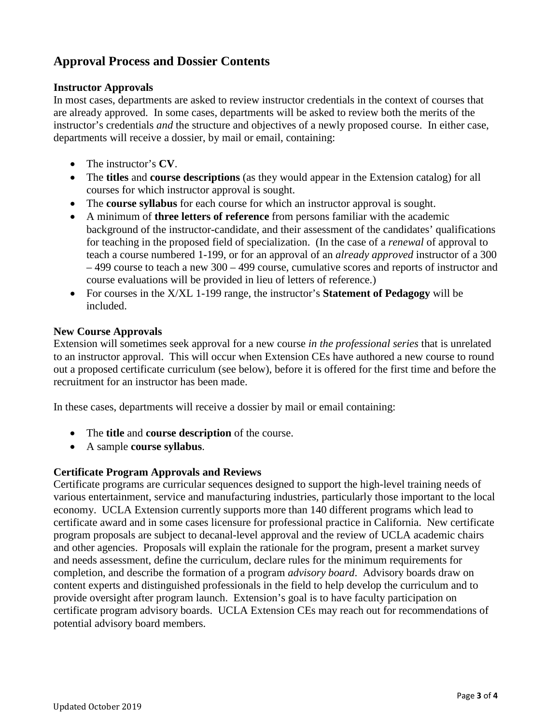# **Approval Process and Dossier Contents**

#### **Instructor Approvals**

In most cases, departments are asked to review instructor credentials in the context of courses that are already approved. In some cases, departments will be asked to review both the merits of the instructor's credentials *and* the structure and objectives of a newly proposed course. In either case, departments will receive a dossier, by mail or email, containing:

- The instructor's **CV**.
- The **titles** and **course descriptions** (as they would appear in the Extension catalog) for all courses for which instructor approval is sought.
- The **course syllabus** for each course for which an instructor approval is sought.
- A minimum of **three letters of reference** from persons familiar with the academic background of the instructor-candidate, and their assessment of the candidates' qualifications for teaching in the proposed field of specialization. (In the case of a *renewal* of approval to teach a course numbered 1-199, or for an approval of an *already approved* instructor of a 300 – 499 course to teach a new 300 – 499 course, cumulative scores and reports of instructor and course evaluations will be provided in lieu of letters of reference.)
- For courses in the X/XL 1-199 range, the instructor's **Statement of Pedagogy** will be included.

#### **New Course Approvals**

Extension will sometimes seek approval for a new course *in the professional series* that is unrelated to an instructor approval. This will occur when Extension CEs have authored a new course to round out a proposed certificate curriculum (see below), before it is offered for the first time and before the recruitment for an instructor has been made.

In these cases, departments will receive a dossier by mail or email containing:

- The **title** and **course description** of the course.
- A sample **course syllabus**.

### **Certificate Program Approvals and Reviews**

Certificate programs are curricular sequences designed to support the high-level training needs of various entertainment, service and manufacturing industries, particularly those important to the local economy. UCLA Extension currently supports more than 140 different programs which lead to certificate award and in some cases licensure for professional practice in California. New certificate program proposals are subject to decanal-level approval and the review of UCLA academic chairs and other agencies. Proposals will explain the rationale for the program, present a market survey and needs assessment, define the curriculum, declare rules for the minimum requirements for completion, and describe the formation of a program *advisory board*. Advisory boards draw on content experts and distinguished professionals in the field to help develop the curriculum and to provide oversight after program launch. Extension's goal is to have faculty participation on certificate program advisory boards. UCLA Extension CEs may reach out for recommendations of potential advisory board members.